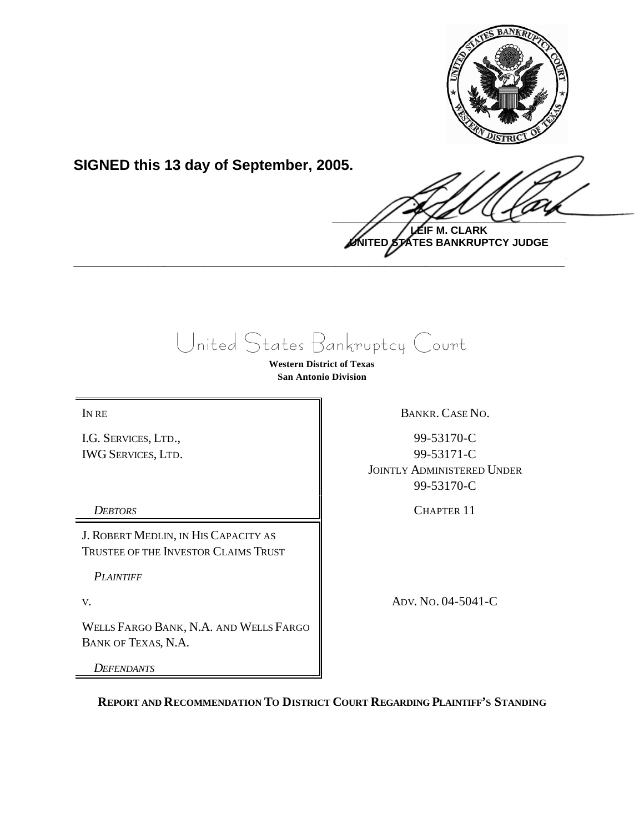

**SIGNED this 13 day of September, 2005.**

 $\frac{1}{2}$ **LEIF M. CLARK**

**UNITED STATES BANKRUPTCY JUDGE \_\_\_\_\_\_\_\_\_\_\_\_\_\_\_\_\_\_\_\_\_\_\_\_\_\_\_\_\_\_\_\_\_\_\_\_\_\_\_\_\_\_\_\_\_\_\_\_\_\_\_\_\_\_\_\_\_\_\_\_**

United States Bankruptcy Court

**Western District of Texas San Antonio Division**

I.G. SERVICES, LTD., IWG SERVICES, LTD.

J. ROBERT MEDLIN, IN HIS CAPACITY AS TRUSTEE OF THE INVESTOR CLAIMS TRUST

*PLAINTIFF*

WELLS FARGO BANK, N.A. AND WELLS FARGO BANK OF TEXAS, N.A.

*DEFENDANTS*

IN RE BANKR. CASE NO.

99-53170-C 99-53171-C JOINTLY ADMINISTERED UNDER 99-53170-C

*DEBTORS* CHAPTER 11

V. ADV. No. 04-5041-C

**REPORT AND RECOMMENDATION TO DISTRICT COURT REGARDING PLAINTIFF'S STANDING**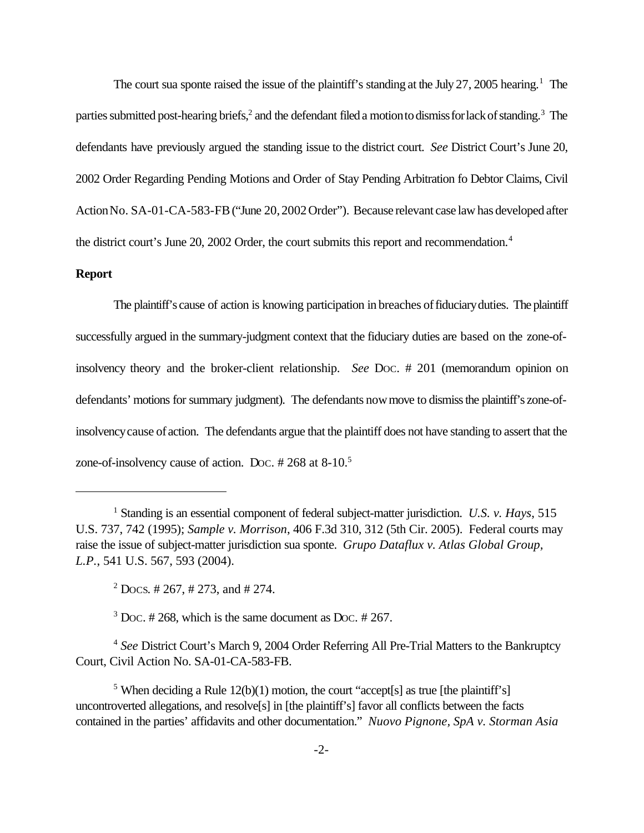The court sua sponte raised the issue of the plaintiff's standing at the July 27, 2005 hearing.<sup>1</sup> The parties submitted post-hearing briefs,<sup>2</sup> and the defendant filed a motion to dismiss for lack of standing.<sup>3</sup> The defendants have previously argued the standing issue to the district court. *See* District Court's June 20, 2002 Order Regarding Pending Motions and Order of Stay Pending Arbitration fo Debtor Claims, Civil ActionNo. SA-01-CA-583-FB("June 20,2002Order"). Because relevant case law has developed after the district court's June 20, 2002 Order, the court submits this report and recommendation.<sup>4</sup>

## **Report**

The plaintiff's cause of action is knowing participation in breaches of fiduciary duties. The plaintiff successfully argued in the summary-judgment context that the fiduciary duties are based on the zone-ofinsolvency theory and the broker-client relationship. *See* DOC. # 201 (memorandum opinion on defendants' motions for summary judgment). The defendants now move to dismiss the plaintiff's zone-ofinsolvencycause of action. The defendants argue that the plaintiff does not have standing to assert that the zone-of-insolvency cause of action. DOC. # 268 at 8-10.<sup>5</sup>

 $3$  Doc. # 268, which is the same document as Doc. # 267.

<sup>4</sup> *See* District Court's March 9, 2004 Order Referring All Pre-Trial Matters to the Bankruptcy Court, Civil Action No. SA-01-CA-583-FB.

<sup>1</sup> Standing is an essential component of federal subject-matter jurisdiction. *U.S. v. Hays*, 515 U.S. 737, 742 (1995); *Sample v. Morrison*, 406 F.3d 310, 312 (5th Cir. 2005). Federal courts may raise the issue of subject-matter jurisdiction sua sponte. *Grupo Dataflux v. Atlas Global Group, L.P.*, 541 U.S. 567, 593 (2004).

 $2$  Docs. # 267, # 273, and # 274.

<sup>&</sup>lt;sup>5</sup> When deciding a Rule  $12(b)(1)$  motion, the court "accept[s] as true [the plaintiff's] uncontroverted allegations, and resolve[s] in [the plaintiff's] favor all conflicts between the facts contained in the parties' affidavits and other documentation." *Nuovo Pignone, SpA v. Storman Asia*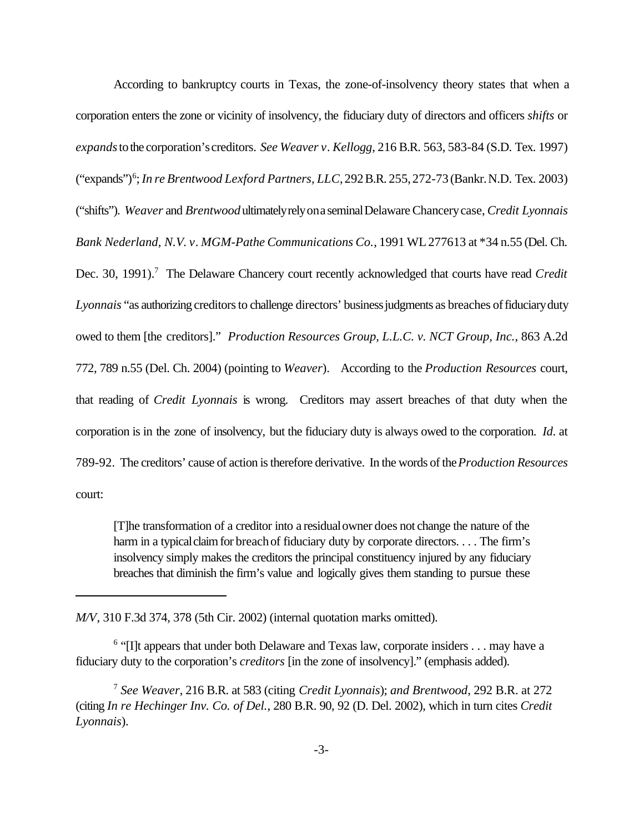According to bankruptcy courts in Texas, the zone-of-insolvency theory states that when a corporation enters the zone or vicinity of insolvency, the fiduciary duty of directors and officers *shifts* or *expands*tothe corporation'screditors. *See Weaver v. Kellogg*, 216 B.R. 563, 583-84 (S.D. Tex. 1997) ("expands")<sup>6</sup> ;*In re Brentwood Lexford Partners, LLC*,292B.R. 255,272-73 (Bankr.N.D. Tex. 2003) ("shifts"). *Weaver* and *Brentwood*ultimatelyrelyona seminalDelawareChancerycase, *Credit Lyonnais Bank Nederland, N.V. v. MGM-Pathe Communications Co.*, 1991 WL277613 at \*34 n.55 (Del. Ch. Dec. 30, 1991).<sup>7</sup> The Delaware Chancery court recently acknowledged that courts have read *Credit Lyonnais* "as authorizing creditors to challenge directors' business judgments as breaches of fiduciary duty owed to them [the creditors]." *Production Resources Group, L.L.C. v. NCT Group, Inc.*, 863 A.2d 772, 789 n.55 (Del. Ch. 2004) (pointing to *Weaver*). According to the *Production Resources* court, that reading of *Credit Lyonnais* is wrong. Creditors may assert breaches of that duty when the corporation is in the zone of insolvency, but the fiduciary duty is always owed to the corporation. *Id*. at 789-92. The creditors' cause of action is therefore derivative. In the words of the *Production Resources* court:

[T]he transformation of a creditor into a residualowner does not change the nature of the harm in a typical claim for breach of fiduciary duty by corporate directors. . . . The firm's insolvency simply makes the creditors the principal constituency injured by any fiduciary breaches that diminish the firm's value and logically gives them standing to pursue these

*M/V*, 310 F.3d 374, 378 (5th Cir. 2002) (internal quotation marks omitted).

<sup>6</sup> "[I]t appears that under both Delaware and Texas law, corporate insiders . . . may have a fiduciary duty to the corporation's *creditors* [in the zone of insolvency]." (emphasis added).

<sup>7</sup> *See Weaver*, 216 B.R. at 583 (citing *Credit Lyonnais*); *and Brentwood*, 292 B.R. at 272 (citing *In re Hechinger Inv. Co. of Del.*, 280 B.R. 90, 92 (D. Del. 2002), which in turn cites *Credit Lyonnais*).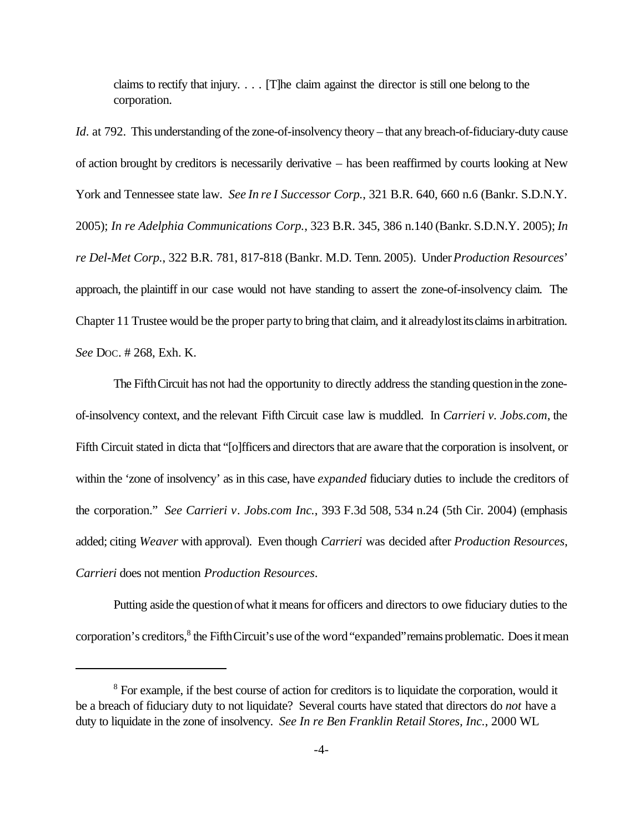claims to rectify that injury. . . . [T]he claim against the director is still one belong to the corporation.

*Id*. at 792. This understanding of the zone-of-insolvency theory – that any breach-of-fiduciary-duty cause of action brought by creditors is necessarily derivative – has been reaffirmed by courts looking at New York and Tennessee state law. *See In re I Successor Corp.*, 321 B.R. 640, 660 n.6 (Bankr. S.D.N.Y. 2005); *In re Adelphia Communications Corp.*, 323 B.R. 345, 386 n.140 (Bankr. S.D.N.Y. 2005); *In re Del-Met Corp.*, 322 B.R. 781, 817-818 (Bankr. M.D. Tenn. 2005). Under *Production Resources*' approach, the plaintiff in our case would not have standing to assert the zone-of-insolvency claim. The Chapter 11 Trustee would be the proper party to bring that claim, and it already lost its claims in arbitration. *See* DOC. # 268, Exh. K.

The Fifth Circuit has not had the opportunity to directly address the standing question in the zoneof-insolvency context, and the relevant Fifth Circuit case law is muddled. In *Carrieri v. Jobs.com*, the Fifth Circuit stated in dicta that "[o]fficers and directors that are aware that the corporation is insolvent, or within the 'zone of insolvency' as in this case, have *expanded* fiduciary duties to include the creditors of the corporation." *See Carrieri v. Jobs.com Inc.*, 393 F.3d 508, 534 n.24 (5th Cir. 2004) (emphasis added; citing *Weaver* with approval). Even though *Carrieri* was decided after *Production Resources*, *Carrieri* does not mention *Production Resources*.

Putting aside the questionofwhat it means for officers and directors to owe fiduciary duties to the corporation's creditors,<sup>8</sup> the Fifth Circuit's use of the word "expanded" remains problematic. Does it mean

<sup>&</sup>lt;sup>8</sup> For example, if the best course of action for creditors is to liquidate the corporation, would it be a breach of fiduciary duty to not liquidate? Several courts have stated that directors do *not* have a duty to liquidate in the zone of insolvency. *See In re Ben Franklin Retail Stores, Inc.*, 2000 WL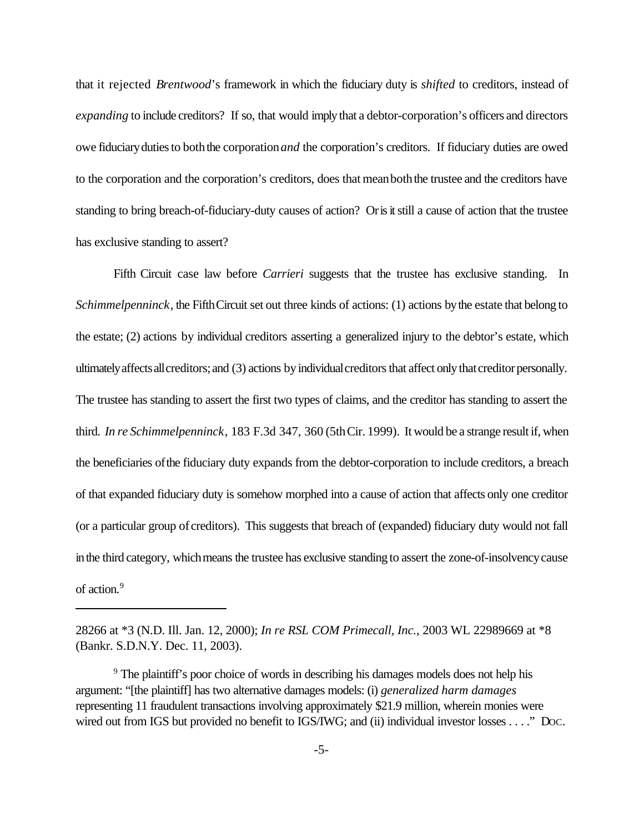that it rejected *Brentwood*'s framework in which the fiduciary duty is *shifted* to creditors, instead of *expanding* to include creditors? If so, that would imply that a debtor-corporation's officers and directors owe fiduciary duties to both the corporation *and* the corporation's creditors. If fiduciary duties are owed to the corporation and the corporation's creditors, does that meanboththe trustee and the creditors have standing to bring breach-of-fiduciary-duty causes of action? Orisitstill a cause of action that the trustee has exclusive standing to assert?

Fifth Circuit case law before *Carrieri* suggests that the trustee has exclusive standing. In *Schimmelpenninck*, the Fifth Circuit set out three kinds of actions: (1) actions by the estate that belong to the estate; (2) actions by individual creditors asserting a generalized injury to the debtor's estate, which ultimately affects all creditors; and (3) actions by individual creditors that affect only that creditor personally. The trustee has standing to assert the first two types of claims, and the creditor has standing to assert the third. *In re Schimmelpenninck*, 183 F.3d 347, 360 (5thCir. 1999). It would be a strange result if, when the beneficiaries ofthe fiduciary duty expands from the debtor-corporation to include creditors, a breach of that expanded fiduciary duty is somehow morphed into a cause of action that affects only one creditor (or a particular group of creditors). This suggests that breach of (expanded) fiduciary duty would not fall in the third category, which means the trustee has exclusive standing to assert the zone-of-insolvency cause of action.<sup>9</sup>

<sup>28266</sup> at \*3 (N.D. Ill. Jan. 12, 2000); *In re RSL COM Primecall, Inc.*, 2003 WL 22989669 at \*8 (Bankr. S.D.N.Y. Dec. 11, 2003).

<sup>&</sup>lt;sup>9</sup> The plaintiff's poor choice of words in describing his damages models does not help his argument: "[the plaintiff] has two alternative damages models: (i) *generalized harm damages* representing 11 fraudulent transactions involving approximately \$21.9 million, wherein monies were wired out from IGS but provided no benefit to IGS/IWG; and (ii) individual investor losses . . . ." Doc.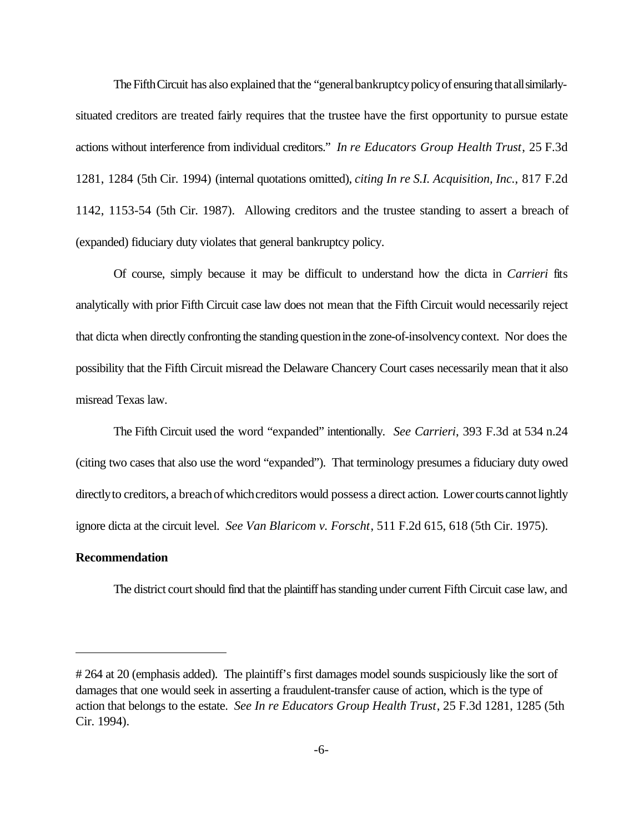The Fifth Circuit has also explained that the "general bankruptcy policy of ensuring that all similarlysituated creditors are treated fairly requires that the trustee have the first opportunity to pursue estate actions without interference from individual creditors." *In re Educators Group Health Trust*, 25 F.3d 1281, 1284 (5th Cir. 1994) (internal quotations omitted), *citing In re S.I. Acquisition, Inc.*, 817 F.2d 1142, 1153-54 (5th Cir. 1987). Allowing creditors and the trustee standing to assert a breach of (expanded) fiduciary duty violates that general bankruptcy policy.

Of course, simply because it may be difficult to understand how the dicta in *Carrieri* fits analytically with prior Fifth Circuit case law does not mean that the Fifth Circuit would necessarily reject that dicta when directly confronting the standing questioninthe zone-of-insolvencycontext. Nor does the possibility that the Fifth Circuit misread the Delaware Chancery Court cases necessarily mean that it also misread Texas law.

The Fifth Circuit used the word "expanded" intentionally. *See Carrieri*, 393 F.3d at 534 n.24 (citing two cases that also use the word "expanded"). That terminology presumes a fiduciary duty owed directly to creditors, a breach of which creditors would possess a direct action. Lower courts cannot lightly ignore dicta at the circuit level. *See Van Blaricom v. Forscht*, 511 F.2d 615, 618 (5th Cir. 1975).

## **Recommendation**

The district court should find that the plaintiff has standing under current Fifth Circuit case law, and

<sup># 264</sup> at 20 (emphasis added). The plaintiff's first damages model sounds suspiciously like the sort of damages that one would seek in asserting a fraudulent-transfer cause of action, which is the type of action that belongs to the estate. *See In re Educators Group Health Trust*, 25 F.3d 1281, 1285 (5th Cir. 1994).